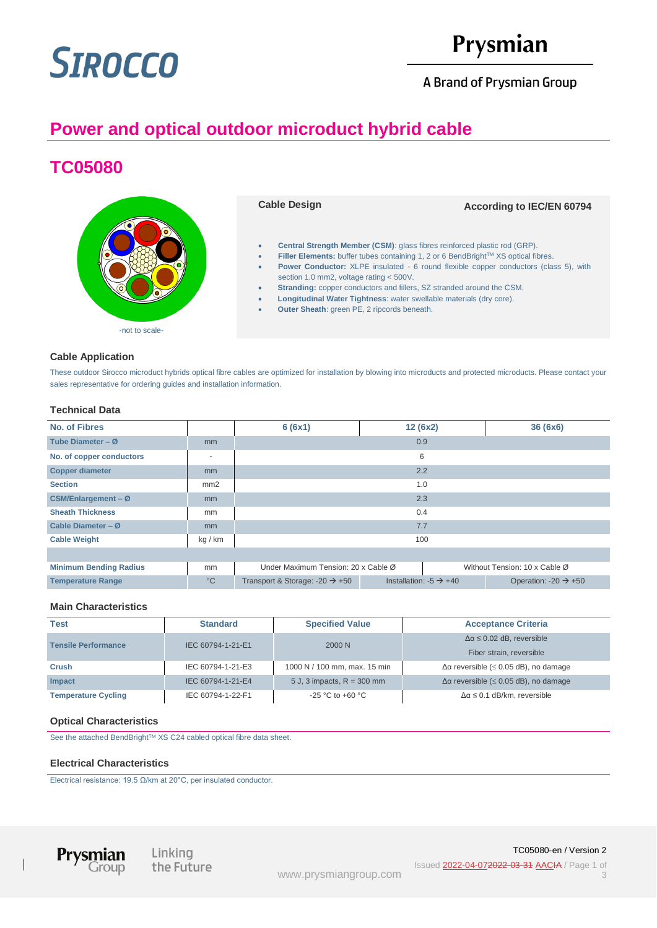# **SIROCCO**

# Prysmian

A Brand of Prysmian Group

# **Power and optical outdoor microduct hybrid cable**

# **TC05080**



### **Cable Application**

These outdoor Sirocco microduct hybrids optical fibre cables are optimized for installation by blowing into microducts and protected microducts. Please contact your sales representative for ordering guides and installation information.

## **Technical Data**

| <b>No. of Fibres</b>          |                          | 6(6x1)                                                               | 12(6x2)                            |  | 36(6x6)                          |
|-------------------------------|--------------------------|----------------------------------------------------------------------|------------------------------------|--|----------------------------------|
| Tube Diameter - $Ø$           | m <sub>m</sub>           | 0.9                                                                  |                                    |  |                                  |
| No. of copper conductors      | $\overline{\phantom{a}}$ | 6                                                                    |                                    |  |                                  |
| <b>Copper diameter</b>        | m <sub>m</sub>           | 2.2                                                                  |                                    |  |                                  |
| <b>Section</b>                | mm2                      | 1.0                                                                  |                                    |  |                                  |
| CSM/Enlargement - $Ø$         | m <sub>m</sub>           | 2.3                                                                  |                                    |  |                                  |
| <b>Sheath Thickness</b>       | mm                       | 0.4                                                                  |                                    |  |                                  |
| Cable Diameter - $Ø$          | mm                       | 7.7                                                                  |                                    |  |                                  |
| <b>Cable Weight</b>           | kg / km                  | 100                                                                  |                                    |  |                                  |
|                               |                          |                                                                      |                                    |  |                                  |
| <b>Minimum Bending Radius</b> | mm                       | Under Maximum Tension: 20 x Cable Ø<br>Without Tension: 10 x Cable Ø |                                    |  |                                  |
| <b>Temperature Range</b>      | $^{\circ}$ C             | Transport & Storage: -20 $\rightarrow$ +50                           | Installation: $-5 \rightarrow +40$ |  | Operation: $-20 \rightarrow +50$ |

### **Main Characteristics**

| <b>Test</b>                | <b>Standard</b>   | <b>Specified Value</b>       | <b>Acceptance Criteria</b>                 |  |
|----------------------------|-------------------|------------------------------|--------------------------------------------|--|
| <b>Tensile Performance</b> | IEC 60794-1-21-E1 | 2000 N                       | $\Delta \alpha \leq 0.02$ dB, reversible   |  |
|                            |                   |                              | Fiber strain, reversible                   |  |
| <b>Crush</b>               | IEC 60794-1-21-E3 | 1000 N / 100 mm, max. 15 min | $Δα$ reversible ( $≤$ 0.05 dB), no damage  |  |
| Impact                     | IEC 60794-1-21-E4 | 5 J, 3 impacts, $R = 300$ mm | $Δα$ reversible ( $≤$ 0.05 dB), no damage  |  |
| <b>Temperature Cycling</b> | IEC 60794-1-22-F1 | $-25$ °C to $+60$ °C         | $\Delta \alpha \leq 0.1$ dB/km, reversible |  |

### **Optical Characteristics**

See the attached BendBright™ XS C24 cabled optical fibre data sheet.

#### **Electrical Characteristics**

Electrical resistance: 19.5 Ω/km at 20°C, per insulated conductor.



Linking the Future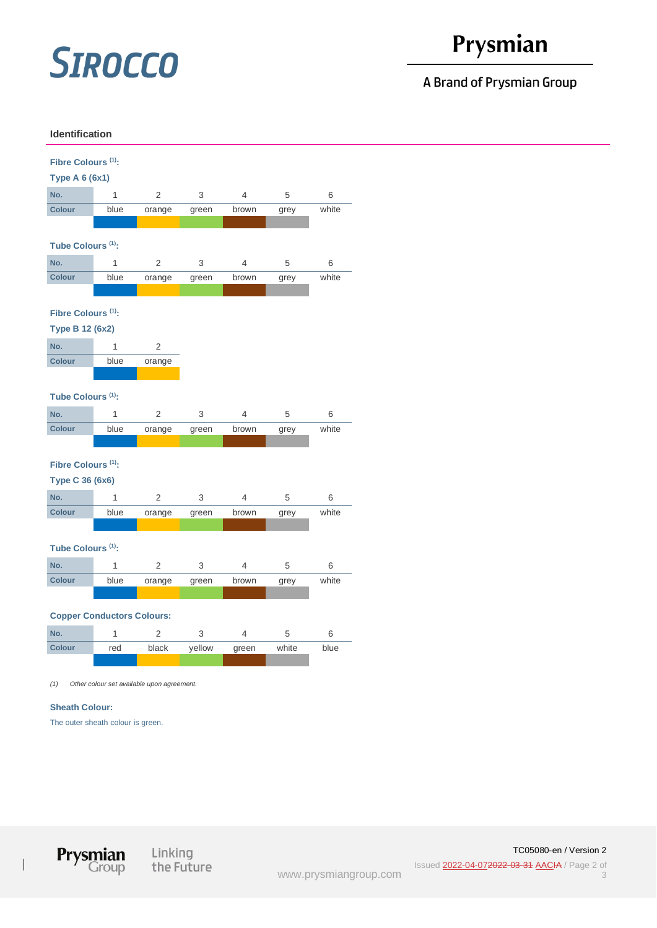# **SIROCCO**

# Prysmian

## A Brand of Prysmian Group

### **Identification**





 $\overline{1}$ 

Linking the Future

[www.prysmiangroup.com](https://www.prysmiangroup.com/)